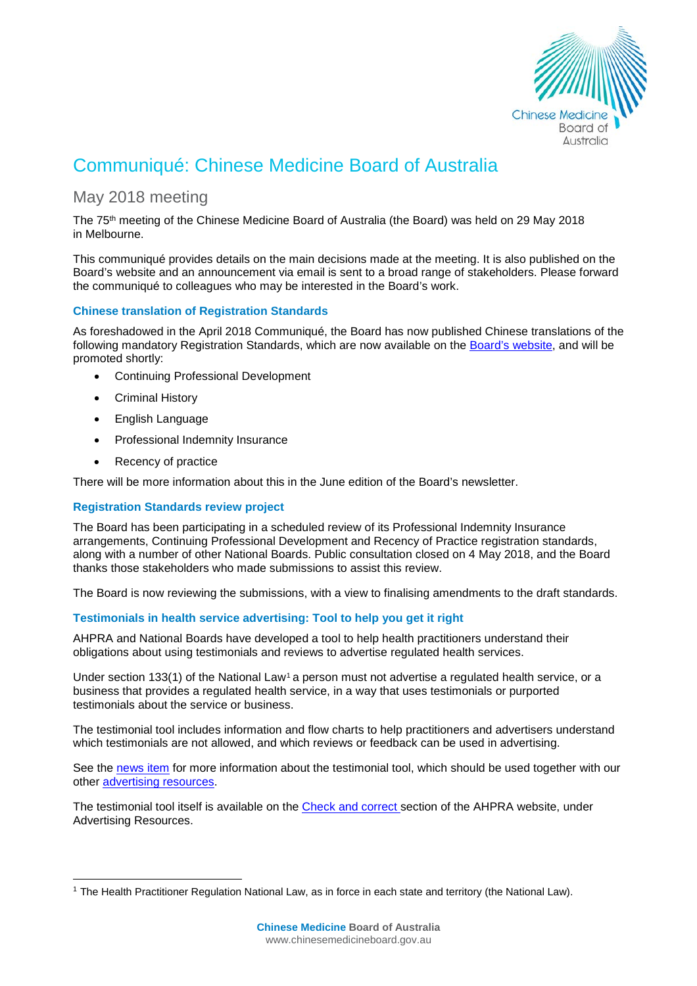

# Communiqué: Chinese Medicine Board of Australia

# May 2018 meeting

The 75th meeting of the Chinese Medicine Board of Australia (the Board) was held on 29 May 2018 in Melbourne.

This communiqué provides details on the main decisions made at the meeting. It is also published on the Board's [website](http://www.chinesemedicineboard.gov.au/) and an announcement via email is sent to a broad range of stakeholders. Please forward the communiqué to colleagues who may be interested in the Board's work.

# **Chinese translation of Registration Standards**

As foreshadowed in the April 2018 Communiqué, the Board has now published Chinese translations of the following mandatory Registration Standards, which are now available on the [Board's website,](http://www.chinesemedicineboard.gov.au/Registration-Standards.aspx) and will be promoted shortly:

- Continuing Professional Development
- Criminal History
- English Language
- Professional Indemnity Insurance
- Recency of practice

There will be more information about this in the June edition of the Board's newsletter.

## **Registration Standards review project**

The Board has been participating in a scheduled review of its Professional Indemnity Insurance arrangements, Continuing Professional Development and Recency of Practice registration standards, along with a number of other National Boards. Public consultation closed on 4 May 2018, and the Board thanks those stakeholders who made submissions to assist this review.

The Board is now reviewing the submissions, with a view to finalising amendments to the draft standards.

## **Testimonials in health service advertising: Tool to help you get it right**

AHPRA and National Boards have developed a tool to help health practitioners understand their obligations about using testimonials and reviews to advertise regulated health services.

Under section [1](#page-0-0)33(1) of the National Law<sup>1</sup> a person must not advertise a regulated health service, or a business that provides a regulated health service, in a way that uses testimonials or purported testimonials about the service or business.

The testimonial tool includes information and flow charts to help practitioners and advertisers understand which testimonials are not allowed, and which reviews or feedback can be used in advertising.

See the [news item](http://www.ahpra.gov.au/News/2018-0516-New-tool-about-testimonials.aspx) for more information about the testimonial tool, which should be used together with our other [advertising resources.](http://www.ahpra.gov.au/Publications/Advertising-resources.aspx)

The testimonial tool itself is available on the [Check and correct s](http://www.ahpra.gov.au/Publications/Advertising-resources/Check-and-correct.aspx)ection of the AHPRA website, under Advertising Resources.

<span id="page-0-0"></span> <sup>1</sup> The Health Practitioner Regulation National Law, as in force in each state and territory (the National Law).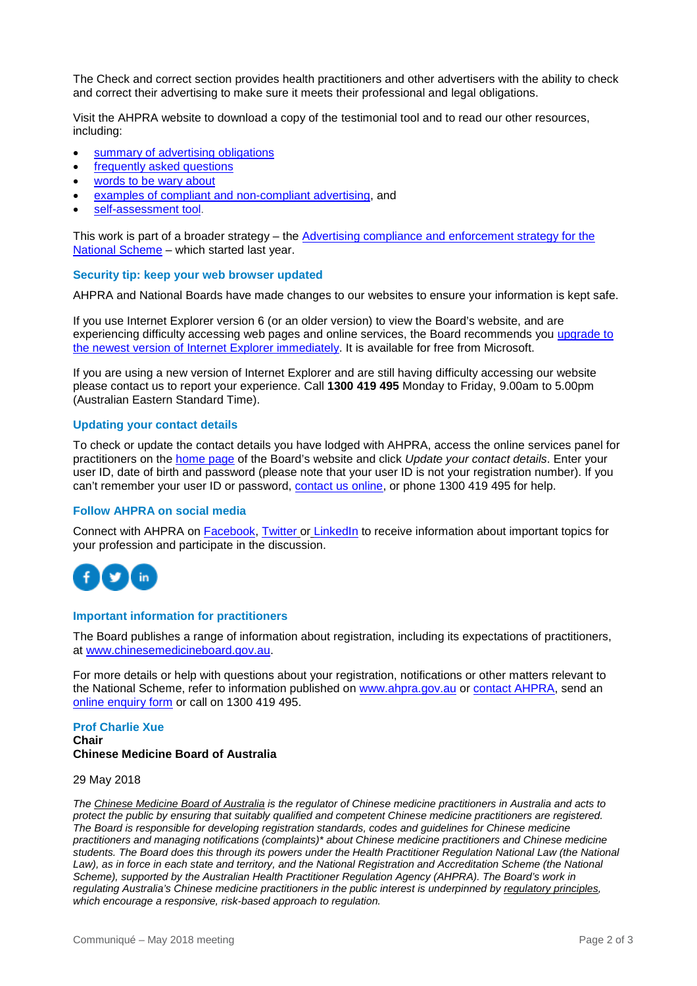The Check and correct section provides health practitioners and other advertisers with the ability to check and correct their advertising to make sure it meets their professional and legal obligations.

Visit the AHPRA website to download a copy of the testimonial tool and to read our other resources, including:

- [summary of advertising obligations](http://www.ahpra.gov.au/Publications/Advertising-resources/Legislation-guidelines/Summary-of-advertising-obligations.aspx)
- [frequently asked questions](http://www.ahpra.gov.au/Publications/Advertising-resources/Further-information.aspx)
- [words to be wary about](http://www.ahpra.gov.au/Publications/Advertising-resources/What-health-practitioners-and-healthcare-providers-need-to-know.aspx)
- [examples of compliant and non-compliant advertising,](http://www.ahpra.gov.au/Publications/Advertising-resources/Check-and-correct/All-professions-examples.aspx) and
- [self-assessment tool.](http://www.ahpra.gov.au/Publications/Advertising-resources/Check-and-correct/Self-assessment-tool.aspx)

This work is part of a broader strategy – the Advertising compliance and enforcement strategy for the [National Scheme](https://www.ahpra.gov.au/News/2017-04-20-media-release-advertising.aspx) – which started last year.

#### **Security tip: keep your web browser updated**

AHPRA and National Boards have made changes to our websites to ensure your information is kept safe.

If you use Internet Explorer version 6 (or an older version) to view the Board's website, and are experiencing difficulty accessing web pages and online services, the Board recommends you upgrade to [the newest version of Internet Explorer immediately.](http://windows.microsoft.com/en-au/internet-explorer/download-ie) It is available for free from Microsoft.

If you are using a new version of Internet Explorer and are still having difficulty accessing our website please contact us to report your experience. Call **1300 419 495** Monday to Friday, 9.00am to 5.00pm (Australian Eastern Standard Time).

#### **Updating your contact details**

To check or update the contact details you have lodged with AHPRA, access the online services panel for practitioners on the [home page](http://www.chinesemedicineboard.gov.au/) of the Board's website and click *Update your contact details*. Enter your user ID, date of birth and password (please note that your user ID is not your registration number). If you can't remember your user ID or password, [contact us online,](https://www.ahpra.gov.au/About-AHPRA/Contact-Us/Make-an-Enquiry.aspx) or phone 1300 419 495 for help.

#### **Follow AHPRA on social media**

Connect with AHPRA on **Facebook, [Twitter](https://twitter.com/AHPRA) or [LinkedIn](https://www.linkedin.com/company/australian-health-practitioner-regulation-agency)** to receive information about important topics for your profession and participate in the discussion.



#### **Important information for practitioners**

The Board publishes a range of information about registration, including its expectations of practitioners, at [www.chinesemedicineboard.gov.au.](http://www.chinesemedicineboard.gov.au/)

For more details or help with questions about your registration, notifications or other matters relevant to the National Scheme, refer to information published on [www.ahpra.gov.au](http://www.ahpra.gov.au/) or [contact AHPRA,](http://www.ahpra.gov.au/About-AHPRA/Contact-Us.aspx) send an [online enquiry form](https://www.ahpra.gov.au/About-AHPRA/Contact-Us/Make-an-Enquiry.aspx) or call on 1300 419 495.

#### **Prof Charlie Xue Chair Chinese Medicine Board of Australia**

#### 29 May 2018

*The [Chinese Medicine Board of Australia](http://www.chinesemedicineboard.gov.au/) is the regulator of Chinese medicine practitioners in Australia and acts to protect the public by ensuring that suitably qualified and competent Chinese medicine practitioners are registered. The Board is responsible for developing registration standards, codes and guidelines for Chinese medicine practitioners and managing notifications (complaints)\* about Chinese medicine practitioners and Chinese medicine students. The Board does this through its powers under the Health Practitioner Regulation National Law (the National Law), as in force in each state and territory, and the National Registration and Accreditation Scheme (the National Scheme), supported by the Australian Health Practitioner Regulation Agency (AHPRA). The Board's work in regulating Australia's Chinese medicine practitioners in the public interest is underpinned by [regulatory principles,](https://www.ahpra.gov.au/About-AHPRA/Regulatory-principles.aspx) which encourage a responsive, risk-based approach to regulation.*